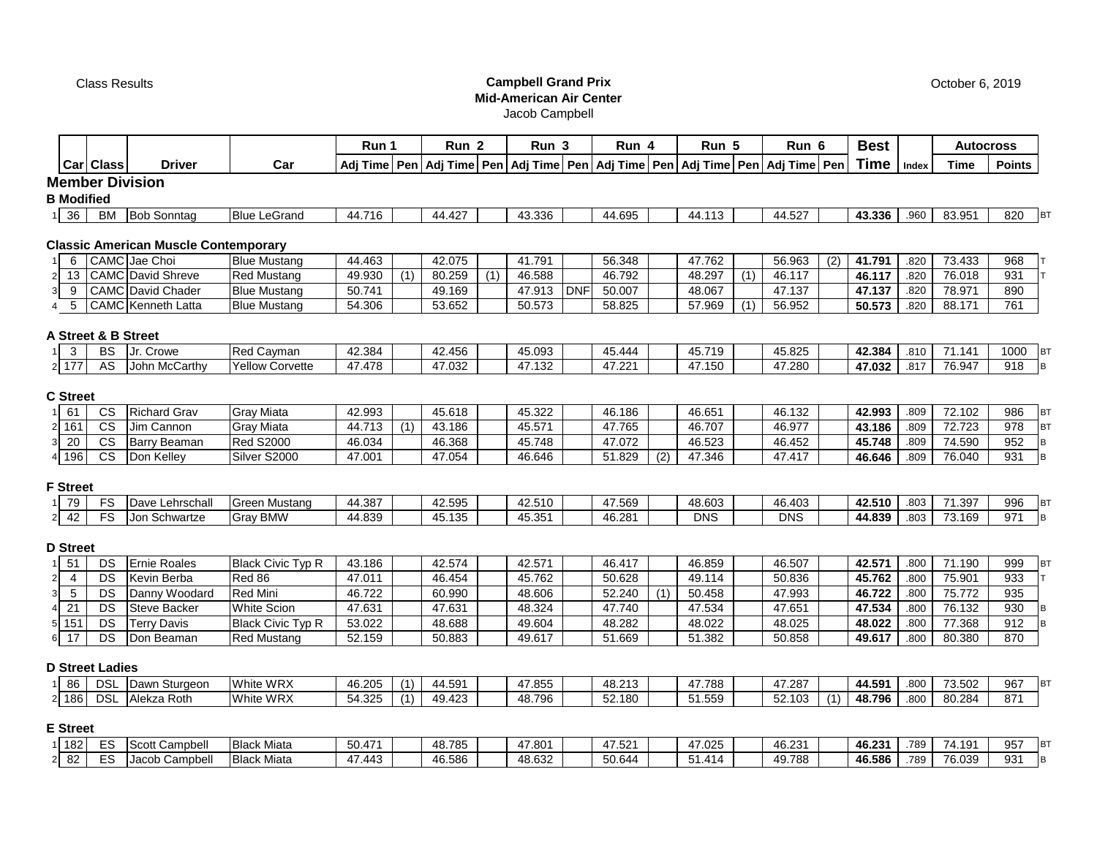# Class Results **Campbell Grand Prix Mid-American Air Center**

Jacob Campbell

|                                                  |                        |                                             |                          | Run 1  |     | Run <sub>2</sub> |     | Run 3  |            | Run 4  |     | Run 5                                                                                      |     | Run 6      |     | <b>Best</b> |       | <b>Autocross</b> |               |           |
|--------------------------------------------------|------------------------|---------------------------------------------|--------------------------|--------|-----|------------------|-----|--------|------------|--------|-----|--------------------------------------------------------------------------------------------|-----|------------|-----|-------------|-------|------------------|---------------|-----------|
|                                                  | Car Class              | <b>Driver</b>                               | Car                      |        |     |                  |     |        |            |        |     | Adj Time Pen Adj Time Pen Adj Time Pen Adj Time Pen Adj Time Pen Adj Time Pen Adj Time Pen |     |            |     | Time        | Index | <b>Time</b>      | <b>Points</b> |           |
|                                                  |                        | <b>Member Division</b>                      |                          |        |     |                  |     |        |            |        |     |                                                                                            |     |            |     |             |       |                  |               |           |
| <b>B</b> Modified                                |                        |                                             |                          |        |     |                  |     |        |            |        |     |                                                                                            |     |            |     |             |       |                  |               |           |
| 36<br>11                                         | BM                     | <b>Bob Sonntag</b>                          | <b>Blue LeGrand</b>      | 44.716 |     | 44.427           |     | 43.336 |            | 44.695 |     | 44.113                                                                                     |     | 44.527     |     | 43.336      | .960  | 83.951           | 820           | <b>BT</b> |
|                                                  |                        |                                             |                          |        |     |                  |     |        |            |        |     |                                                                                            |     |            |     |             |       |                  |               |           |
|                                                  |                        | <b>Classic American Muscle Contemporary</b> |                          |        |     |                  |     |        |            |        |     |                                                                                            |     |            |     |             |       |                  |               |           |
| 6<br>$\mathbf{1}$                                |                        | CAMC Jae Choi                               | <b>Blue Mustang</b>      | 44.463 |     | 42.075           |     | 41.791 |            | 56.348 |     | 47.762                                                                                     |     | 56.963     | (2) | 41.791      | .820  | 73.433           | 968           |           |
| 13<br>$\overline{2}$                             |                        | <b>CAMC</b> David Shreve                    | <b>Red Mustang</b>       | 49.930 | (1) | 80.259           | (1) | 46.588 |            | 46.792 |     | 48.297                                                                                     | (1) | 46.117     |     | 46.117      | .820  | 76.018           | 931           |           |
| 9<br>3                                           |                        | <b>CAMC</b> David Chader                    | <b>Blue Mustang</b>      | 50.741 |     | 49.169           |     | 47.913 | <b>DNF</b> | 50.007 |     | 48.067                                                                                     |     | 47.137     |     | 47.137      | .820  | 78.971           | 890           |           |
| $4\quad 5$                                       |                        | CAMC Kenneth Latta                          | <b>Blue Mustang</b>      | 54.306 |     | 53.652           |     | 50.573 |            | 58.825 |     | 57.969                                                                                     | (1) | 56.952     |     | 50.573      | .820  | 88.171           | 761           |           |
|                                                  |                        |                                             |                          |        |     |                  |     |        |            |        |     |                                                                                            |     |            |     |             |       |                  |               |           |
|                                                  | A Street & B Street    |                                             |                          |        |     |                  |     |        |            |        |     |                                                                                            |     |            |     |             |       |                  |               |           |
| 3                                                | <b>BS</b>              | Jr. Crowe                                   | <b>Red Cayman</b>        | 42.384 |     | 42.456           |     | 45.093 |            | 45.444 |     | 45.719                                                                                     |     | 45.825     |     | 42.384      | .810  | 71.141           | 1000          | <b>BT</b> |
| 2 177                                            | AS                     | John McCarthy                               | <b>Yellow Corvette</b>   | 47.478 |     | 47.032           |     | 47.132 |            | 47.221 |     | 47.150                                                                                     |     | 47.280     |     | 47.032      | .817  | 76.947           | 918           | B         |
|                                                  |                        |                                             |                          |        |     |                  |     |        |            |        |     |                                                                                            |     |            |     |             |       |                  |               |           |
| <b>C</b> Street                                  |                        |                                             |                          |        |     |                  |     |        |            |        |     |                                                                                            |     |            |     |             |       |                  |               |           |
| 61<br>1 <sup>1</sup>                             | CS                     | <b>Richard Grav</b>                         | <b>Gray Miata</b>        | 42.993 |     | 45.618           |     | 45.322 |            | 46.186 |     | 46.651                                                                                     |     | 46.132     |     | 42.993      | .809  | 72.102           | 986           | <b>BT</b> |
| 2 161                                            | <b>CS</b>              | Jim Cannon                                  | <b>Gray Miata</b>        | 44.713 | (1) | 43.186           |     | 45.571 |            | 47.765 |     | 46.707                                                                                     |     | 46.977     |     | 43.186      | .809  | 72.723           | 978           | <b>BT</b> |
| $\overline{20}$<br>3                             | $\overline{\text{cs}}$ | <b>Barry Beaman</b>                         | <b>Red S2000</b>         | 46.034 |     | 46.368           |     | 45.748 |            | 47.072 |     | 46.523                                                                                     |     | 46.452     |     | 45.748      | .809  | 74.590           | 952           | B         |
| 4 196                                            | $\overline{\text{cs}}$ | Don Kelley                                  | Silver S2000             | 47.001 |     | 47.054           |     | 46.646 |            | 51.829 | (2) | 47.346                                                                                     |     | 47.417     |     | 46.646      | .809  | 76.040           | 931           | B         |
|                                                  |                        |                                             |                          |        |     |                  |     |        |            |        |     |                                                                                            |     |            |     |             |       |                  |               |           |
| <b>F</b> Street                                  |                        |                                             |                          |        |     |                  |     |        |            |        |     |                                                                                            |     |            |     |             |       |                  |               |           |
| 1 79                                             | FS                     | Dave Lehrschall                             | <b>Green Mustang</b>     | 44.387 |     | 42.595           |     | 42.510 |            | 47.569 |     | 48.603                                                                                     |     | 46.403     |     | 42.510      | .803  | 71.397           | 996           | <b>BT</b> |
| $2 \overline{42}$                                | FS                     | Jon Schwartze                               | <b>Gray BMW</b>          | 44.839 |     | 45.135           |     | 45.351 |            | 46.281 |     | <b>DNS</b>                                                                                 |     | <b>DNS</b> |     | 44.839      | .803  | 73.169           | 971           | B         |
| <b>D</b> Street                                  |                        |                                             |                          |        |     |                  |     |        |            |        |     |                                                                                            |     |            |     |             |       |                  |               |           |
| 51<br>11                                         | DS                     | Ernie Roales                                | <b>Black Civic Typ R</b> | 43.186 |     | 42.574           |     | 42.571 |            | 46.417 |     | 46.859                                                                                     |     | 46.507     |     | 42.571      | .800  | 71.190           | 999           | <b>BT</b> |
| $\overline{\mathbf{4}}$                          | DS                     | Kevin Berba                                 | Red 86                   | 47.011 |     | 46.454           |     | 45.762 |            | 50.628 |     | 49.114                                                                                     |     | 50.836     |     | 45.762      | .800  | 75.901           | 933           |           |
| $\mathbf{2}$<br>$\overline{3}$<br>$\overline{5}$ | DS                     | Danny Woodard                               | Red Mini                 | 46.722 |     | 60.990           |     | 48.606 |            | 52.240 | (1) | 50.458                                                                                     |     | 47.993     |     | 46.722      | .800  | 75.772           | 935           |           |
| 21<br>$\overline{\mathbf{4}}$                    | DS                     | <b>Steve Backer</b>                         | <b>White Scion</b>       | 47.631 |     | 47.631           |     | 48.324 |            | 47.740 |     | 47.534                                                                                     |     | 47.651     |     | 47.534      | .800  | 76.132           | 930           |           |
| $5\overline{151}$                                | DS                     | <b>Terry Davis</b>                          | <b>Black Civic Typ R</b> | 53.022 |     | 48.688           |     | 49.604 |            | 48.282 |     | 48.022                                                                                     |     | 48.025     |     | 48.022      | .800  | 77.368           | 912           |           |
| 17<br>6 <sup>1</sup>                             | DS                     | Don Beaman                                  | <b>Red Mustang</b>       | 52.159 |     | 50.883           |     | 49.617 |            | 51.669 |     | 51.382                                                                                     |     | 50.858     |     | 49.617      | .800  | 80.380           | 870           |           |
|                                                  |                        |                                             |                          |        |     |                  |     |        |            |        |     |                                                                                            |     |            |     |             |       |                  |               |           |
|                                                  | <b>D Street Ladies</b> |                                             |                          |        |     |                  |     |        |            |        |     |                                                                                            |     |            |     |             |       |                  |               |           |
| 86                                               | <b>DSL</b>             | Dawn Sturgeon                               | White WRX                | 46.205 | (1) | 44.591           |     | 47.855 |            | 48.213 |     | 47.788                                                                                     |     | 47.287     |     | 44.591      | .800  | 73.502           | 967           | <b>BT</b> |
| $2$ 186                                          | <b>DSL</b>             | Alekza Roth                                 | White WRX                | 54.325 | (1) | 49.423           |     | 48.796 |            | 52.180 |     | 51.559                                                                                     |     | 52.103     | (1) | 48.796      | .800  | 80.284           | 871           |           |
|                                                  |                        |                                             |                          |        |     |                  |     |        |            |        |     |                                                                                            |     |            |     |             |       |                  |               |           |
| <b>E</b> Street                                  |                        |                                             |                          |        |     |                  |     |        |            |        |     |                                                                                            |     |            |     |             |       |                  |               |           |
| 1 182                                            | ES                     | Scott Campbell                              | <b>Black Miata</b>       | 50.471 |     | 48.785           |     | 47.801 |            | 47.521 |     | 47.025                                                                                     |     | 46.231     |     | 46.231      | .789  | 74.191           | 957           | <b>BT</b> |
| 82<br>2 <sub>1</sub>                             | ES                     | Jacob Campbell                              | <b>Black Miata</b>       | 47.443 |     | 46.586           |     | 48.632 |            | 50.644 |     | 51.414                                                                                     |     | 49.788     |     | 46.586      | .789  | 76.039           | 931           | B         |

October 6, 2019